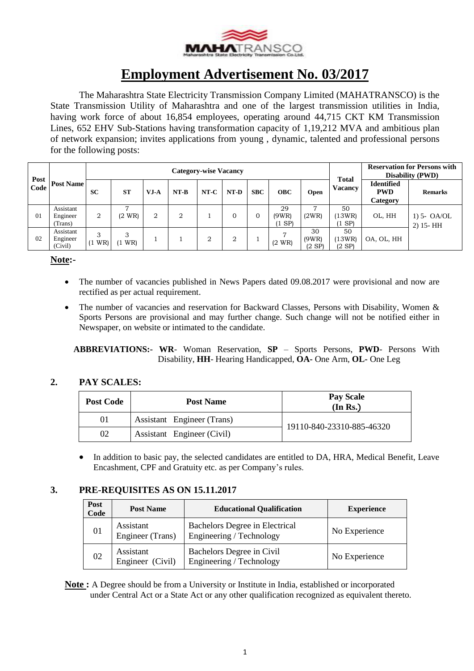

# **Employment Advertisement No. 03/2017**

The Maharashtra State Electricity Transmission Company Limited (MAHATRANSCO) is the State Transmission Utility of Maharashtra and one of the largest transmission utilities in India, having work force of about 16,854 employees, operating around 44,715 CKT KM Transmission Lines, 652 EHV Sub-Stations having transformation capacity of 1,19,212 MVA and ambitious plan of network expansion; invites applications from young , dynamic, talented and professional persons for the following posts:

|              | <b>Post Name</b>                 | <b>Category-wise Vacancy</b> |                       |        |                |        |                |            |                         | <b>Total</b>           |                             | <b>Reservation for Persons with</b><br><b>Disability (PWD)</b> |                               |
|--------------|----------------------------------|------------------------------|-----------------------|--------|----------------|--------|----------------|------------|-------------------------|------------------------|-----------------------------|----------------------------------------------------------------|-------------------------------|
| Post<br>Code |                                  | <b>SC</b>                    | <b>ST</b>             | $VJ-A$ | $NT-B$         | $NT-C$ | NT-D           | <b>SBC</b> | <b>OBC</b>              | Open                   | <b>Vacancy</b>              | <b>Identified</b><br><b>PWD</b><br>Category                    | <b>Remarks</b>                |
| 01           | Assistant<br>Engineer<br>Trans)  | $\overline{2}$               | $(2 \text{ WR})$      | 2      | $\overline{2}$ |        | 0              | 0          | 29<br>(9WR)<br>$(1$ SP) | -<br>(2WR)             | 50<br>(13WR)<br>$(1$ SP $)$ | OL, HH                                                         | $1)$ 5- OA/OL<br>$2)$ 15 - HH |
| 02           | Assistant<br>Engineer<br>(Civil) | $\sim$<br>WR)                | 3<br>$(1 \text{ WR})$ |        |                | റ<br>∠ | $\overline{2}$ |            | $(2 \text{ WR})$        | 30<br>(9WR)<br>$(2$ SP | 50<br>(13WR)<br>$(2$ SP)    | OA, OL, HH                                                     |                               |

**Note:-**

- The number of vacancies published in News Papers dated 09.08.2017 were provisional and now are rectified as per actual requirement.
- The number of vacancies and reservation for Backward Classes, Persons with Disability, Women & Sports Persons are provisional and may further change. Such change will not be notified either in Newspaper, on website or intimated to the candidate.

 **ABBREVIATIONS:- WR**- Woman Reservation, **SP** – Sports Persons, **PWD**- Persons With Disability, **HH**- Hearing Handicapped, **OA-** One Arm, **OL-** One Leg

### **2. PAY SCALES:**

| <b>Post Code</b> | <b>Post Name</b>           | <b>Pay Scale</b><br>(In Rs.) |
|------------------|----------------------------|------------------------------|
| 01               | Assistant Engineer (Trans) | 19110-840-23310-885-46320    |
| 02               | Assistant Engineer (Civil) |                              |

• In addition to basic pay, the selected candidates are entitled to DA, HRA, Medical Benefit, Leave Encashment, CPF and Gratuity etc. as per Company's rules.

### **3. PRE-REQUISITES AS ON 15.11.2017**

| Post<br>Code | <b>Post Name</b>              | <b>Educational Qualification</b>                           | <b>Experience</b> |
|--------------|-------------------------------|------------------------------------------------------------|-------------------|
| 01           | Assistant<br>Engineer (Trans) | Bachelors Degree in Electrical<br>Engineering / Technology | No Experience     |
| 02           | Assistant<br>Engineer (Civil) | Bachelors Degree in Civil<br>Engineering / Technology      | No Experience     |

**Note :** A Degree should be from a University or Institute in India, established or incorporated under Central Act or a State Act or any other qualification recognized as equivalent thereto.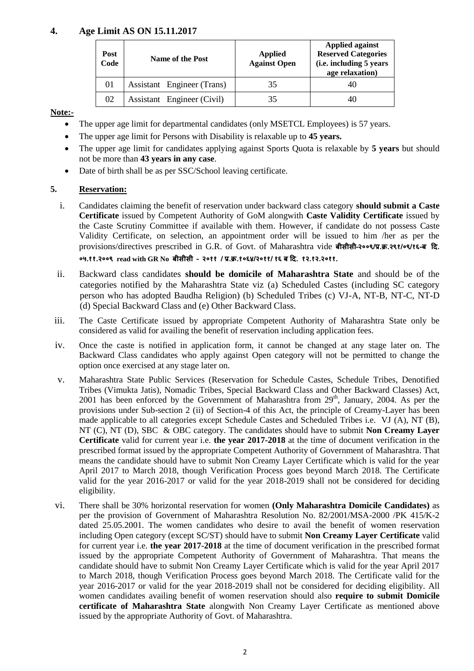#### **4. Age Limit AS ON 15.11.2017**

| Post<br>Code | Name of the Post           | <b>Applied</b><br><b>Against Open</b> | <b>Applied against</b><br><b>Reserved Categories</b><br>(i.e. including 5 years<br>age relaxation) |  |
|--------------|----------------------------|---------------------------------------|----------------------------------------------------------------------------------------------------|--|
| 01           | Assistant Engineer (Trans) | 35                                    | 40                                                                                                 |  |
| 02           | Assistant Engineer (Civil) | 35                                    | 40                                                                                                 |  |

#### **Note:-**

- The upper age limit for departmental candidates (only MSETCL Employees) is 57 years.
- The upper age limit for Persons with Disability is relaxable up to **45 years.**
- The upper age limit for candidates applying against Sports Quota is relaxable by **5 years** but should not be more than **43 years in any case**.
- Date of birth shall be as per SSC/School leaving certificate.

#### **5. Reservation:**

i. Candidates claiming the benefit of reservation under backward class category **should submit a Caste Certificate** issued by Competent Authority of GoM alongwith **Caste Validity Certificate** issued by the Caste Scrutiny Committee if available with them. However, if candidate do not possess Caste Validity Certificate, on selection, an appointment order will be issued to him /her as per the provisions/directives prescribed in G.R. of Govt. of Maharashtra vide **बीसीसी–२००९/प्र.क्र.२९१/०९/१६-ब दि.** 

**०५.११.२००९ read with GR No बीसीसी – २०११ / प्र.क्र.१०६४/२०११/ १६ ब दि. १२.१२.२०११.**

- ii. Backward class candidates **should be domicile of Maharashtra State** and should be of the categories notified by the Maharashtra State viz (a) Scheduled Castes (including SC category person who has adopted Baudha Religion) (b) Scheduled Tribes (c) VJ-A, NT-B, NT-C, NT-D (d) Special Backward Class and (e) Other Backward Class.
- iii. The Caste Certificate issued by appropriate Competent Authority of Maharashtra State only be considered as valid for availing the benefit of reservation including application fees.
- iv. Once the caste is notified in application form, it cannot be changed at any stage later on. The Backward Class candidates who apply against Open category will not be permitted to change the option once exercised at any stage later on.
- v. Maharashtra State Public Services (Reservation for Schedule Castes, Schedule Tribes, Denotified Tribes (Vimukta Jatis), Nomadic Tribes, Special Backward Class and Other Backward Classes) Act, 2001 has been enforced by the Government of Maharashtra from  $29<sup>th</sup>$ , January, 2004. As per the provisions under Sub-section 2 (ii) of Section-4 of this Act, the principle of Creamy-Layer has been made applicable to all categories except Schedule Castes and Scheduled Tribes i.e. VJ (A), NT (B), NT (C), NT (D), SBC & OBC category. The candidates should have to submit **Non Creamy Layer Certificate** valid for current year i.e. **the year 2017-2018** at the time of document verification in the prescribed format issued by the appropriate Competent Authority of Government of Maharashtra. That means the candidate should have to submit Non Creamy Layer Certificate which is valid for the year April 2017 to March 2018, though Verification Process goes beyond March 2018. The Certificate valid for the year 2016-2017 or valid for the year 2018-2019 shall not be considered for deciding eligibility.
- vi. There shall be 30% horizontal reservation for women **(Only Maharashtra Domicile Candidates)** as per the provision of Government of Maharashtra Resolution No. 82/2001/MSA-2000 /PK 415/K-2 dated 25.05.2001. The women candidates who desire to avail the benefit of women reservation including Open category (except SC/ST) should have to submit **Non Creamy Layer Certificate** valid for current year i.e. **the year 2017-2018** at the time of document verification in the prescribed format issued by the appropriate Competent Authority of Government of Maharashtra. That means the candidate should have to submit Non Creamy Layer Certificate which is valid for the year April 2017 to March 2018, though Verification Process goes beyond March 2018. The Certificate valid for the year 2016-2017 or valid for the year 2018-2019 shall not be considered for deciding eligibility. All women candidates availing benefit of women reservation should also **require to submit Domicile certificate of Maharashtra State** alongwith Non Creamy Layer Certificate as mentioned above issued by the appropriate Authority of Govt. of Maharashtra.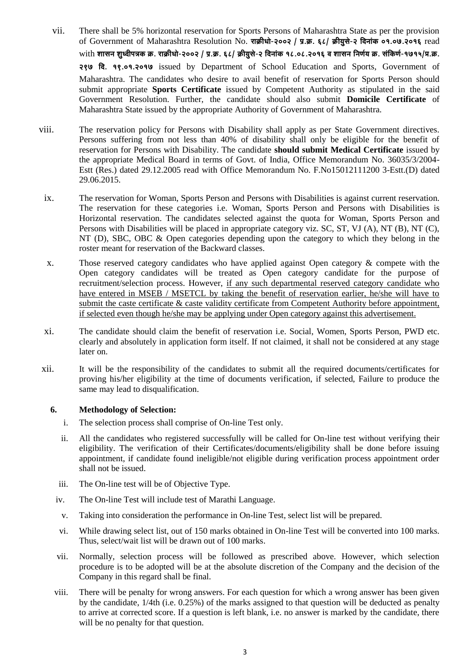- vii. There shall be 5% horizontal reservation for Sports Persons of Maharashtra State as per the provision of Government of Maharashtra Resolution No. राक्रीधो-२००२ / प्र.क्र. ६८/ क्रीयसे-२ विनांक ०१.०७.२०१६ read with शासन शुध्वीपत्रक क्र. राक्रीधो-२००२ / प्र.क्र. ६८/ क्रीयुसे-२ दिनांक १८.०८.२०१६ व शासन निर्णय क्र. संकिर्ण-१७१५/प्र.क्र. **297 efo. 19.01.2017** issued by Department of School Education and Sports, Government of Maharashtra. The candidates who desire to avail benefit of reservation for Sports Person should submit appropriate **Sports Certificate** issued by Competent Authority as stipulated in the said Government Resolution. Further, the candidate should also submit **Domicile Certificate** of Maharashtra State issued by the appropriate Authority of Government of Maharashtra.
- viii. The reservation policy for Persons with Disability shall apply as per State Government directives. Persons suffering from not less than 40% of disability shall only be eligible for the benefit of reservation for Persons with Disability. The candidate **should submit Medical Certificate** issued by the appropriate Medical Board in terms of Govt. of India, Office Memorandum No. 36035/3/2004- Estt (Res.) dated 29.12.2005 read with Office Memorandum No. F.No15012111200 3-Estt.(D) dated 29.06.2015.
- ix. The reservation for Woman, Sports Person and Persons with Disabilities is against current reservation. The reservation for these categories i.e. Woman, Sports Person and Persons with Disabilities is Horizontal reservation. The candidates selected against the quota for Woman, Sports Person and Persons with Disabilities will be placed in appropriate category viz. SC, ST, VJ (A), NT (B), NT (C), NT (D), SBC, OBC & Open categories depending upon the category to which they belong in the roster meant for reservation of the Backward classes.
- x. Those reserved category candidates who have applied against Open category & compete with the Open category candidates will be treated as Open category candidate for the purpose of recruitment/selection process. However, if any such departmental reserved category candidate who have entered in MSEB / MSETCL by taking the benefit of reservation earlier, he/she will have to submit the caste certificate  $\&$  caste validity certificate from Competent Authority before appointment, if selected even though he/she may be applying under Open category against this advertisement.
- xi. The candidate should claim the benefit of reservation i.e. Social, Women, Sports Person, PWD etc. clearly and absolutely in application form itself. If not claimed, it shall not be considered at any stage later on.
- xii. It will be the responsibility of the candidates to submit all the required documents/certificates for proving his/her eligibility at the time of documents verification, if selected, Failure to produce the same may lead to disqualification.

#### **6. Methodology of Selection:**

- i. The selection process shall comprise of On-line Test only.
- ii. All the candidates who registered successfully will be called for On-line test without verifying their eligibility. The verification of their Certificates/documents/eligibility shall be done before issuing appointment, if candidate found ineligible/not eligible during verification process appointment order shall not be issued.
- iii. The On-line test will be of Objective Type.
- iv. The On-line Test will include test of Marathi Language.
- v. Taking into consideration the performance in On-line Test, select list will be prepared.
- vi. While drawing select list, out of 150 marks obtained in On-line Test will be converted into 100 marks. Thus, select/wait list will be drawn out of 100 marks.
- vii. Normally, selection process will be followed as prescribed above. However, which selection procedure is to be adopted will be at the absolute discretion of the Company and the decision of the Company in this regard shall be final.
- viii. There will be penalty for wrong answers. For each question for which a wrong answer has been given by the candidate, 1/4th (i.e. 0.25%) of the marks assigned to that question will be deducted as penalty to arrive at corrected score. If a question is left blank, i.e. no answer is marked by the candidate, there will be no penalty for that question.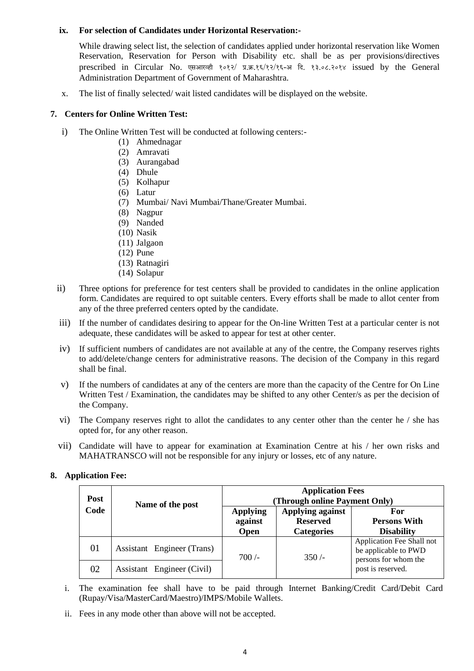#### **ix. For selection of Candidates under Horizontal Reservation:-**

While drawing select list, the selection of candidates applied under horizontal reservation like Women Reservation, Reservation for Person with Disability etc. shall be as per provisions/directives prescribed in Circular No. एसआरव्ही १०१२/ प्र.क्र.१६/१२/१६-अ दि. १३.०८.२०१४ issued by the General Administration Department of Government of Maharashtra.

x. The list of finally selected/ wait listed candidates will be displayed on the website.

#### **7. Centers for Online Written Test:**

- i) The Online Written Test will be conducted at following centers:-
	- (1) Ahmednagar
	- (2) Amravati
	- (3) Aurangabad
	- (4) Dhule
	- (5) Kolhapur
	- (6) Latur
	- (7) Mumbai/ Navi Mumbai/Thane/Greater Mumbai.
	- (8) Nagpur
	- (9) Nanded
	- (10) Nasik
	- (11) Jalgaon
	- (12) Pune
	- (13) Ratnagiri
	- (14) Solapur
- ii) Three options for preference for test centers shall be provided to candidates in the online application form. Candidates are required to opt suitable centers. Every efforts shall be made to allot center from any of the three preferred centers opted by the candidate.
- iii) If the number of candidates desiring to appear for the On-line Written Test at a particular center is not adequate, these candidates will be asked to appear for test at other center.
- iv) If sufficient numbers of candidates are not available at any of the centre, the Company reserves rights to add/delete/change centers for administrative reasons. The decision of the Company in this regard shall be final.
- v) If the numbers of candidates at any of the centers are more than the capacity of the Centre for On Line Written Test / Examination, the candidates may be shifted to any other Center/s as per the decision of the Company.
- vi) The Company reserves right to allot the candidates to any center other than the center he / she has opted for, for any other reason.
- vii) Candidate will have to appear for examination at Examination Centre at his / her own risks and MAHATRANSCO will not be responsible for any injury or losses, etc of any nature.

**For Persons With Disability**

#### **Post Code Name of the post Application Fees (Through online Payment Only) Applying against Open Applying against Reserved Categories** 01 Assistant Engineer (Trans)  $700/-$  350 /-Application Fee Shall not be applicable to PWD persons for whom the

#### **8. Application Fee:**

i. The examination fee shall have to be paid through Internet Banking/Credit Card/Debit Card (Rupay/Visa/MasterCard/Maestro)/IMPS/Mobile Wallets.

02 Assistant Engineer (Civil) **post** is reserved.

ii. Fees in any mode other than above will not be accepted.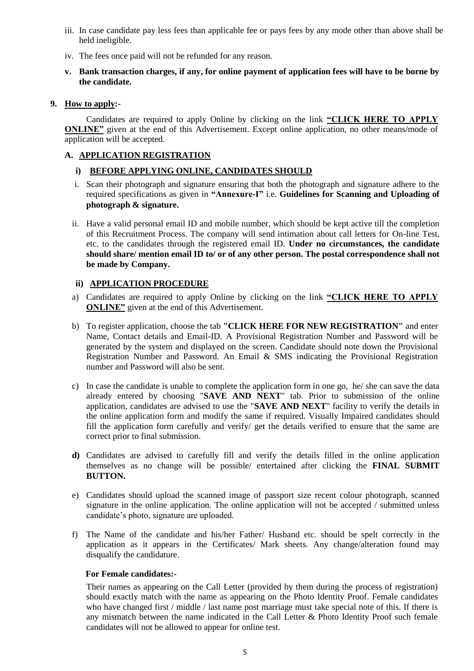- iii. In case candidate pay less fees than applicable fee or pays fees by any mode other than above shall be held ineligible.
- iv. The fees once paid will not be refunded for any reason.
- **v. Bank transaction charges, if any, for online payment of application fees will have to be borne by the candidate.**

#### **9. How to apply:-**

Candidates are required to apply Online by clicking on the link **"CLICK HERE TO APPLY ONLINE"** given at the end of this Advertisement. Except online application, no other means/mode of application will be accepted.

#### **A. APPLICATION REGISTRATION**

#### **i) BEFORE APPLYING ONLINE, CANDIDATES SHOULD**

- i. Scan their photograph and signature ensuring that both the photograph and signature adhere to the required specifications as given in **"Annexure-I"** i.e. **Guidelines for Scanning and Uploading of photograph & signature.**
- ii. Have a valid personal email ID and mobile number, which should be kept active till the completion of this Recruitment Process. The company will send intimation about call letters for On-line Test, etc. to the candidates through the registered email ID. **Under no circumstances, the candidate should share/ mention email ID to/ or of any other person. The postal correspondence shall not be made by Company.**

#### **ii) APPLICATION PROCEDURE**

- a) Candidates are required to apply Online by clicking on the link **"CLICK HERE TO APPLY ONLINE"** given at the end of this Advertisement.
- b) To register application, choose the tab **"CLICK HERE FOR NEW REGISTRATION"** and enter Name, Contact details and Email-ID. A Provisional Registration Number and Password will be generated by the system and displayed on the screen. Candidate should note down the Provisional Registration Number and Password. An Email & SMS indicating the Provisional Registration number and Password will also be sent.
- c) In case the candidate is unable to complete the application form in one go, he/ she can save the data already entered by choosing "**SAVE AND NEXT**" tab. Prior to submission of the online application, candidates are advised to use the "**SAVE AND NEXT**" facility to verify the details in the online application form and modify the same if required. Visually Impaired candidates should fill the application form carefully and verify/ get the details verified to ensure that the same are correct prior to final submission.
- **d)** Candidates are advised to carefully fill and verify the details filled in the online application themselves as no change will be possible/ entertained after clicking the **FINAL SUBMIT BUTTON.**
- e) Candidates should upload the scanned image of passport size recent colour photograph, scanned signature in the online application. The online application will not be accepted / submitted unless candidate's photo, signature are uploaded.
- f) The Name of the candidate and his/her Father/ Husband etc. should be spelt correctly in the application as it appears in the Certificates/ Mark sheets. Any change/alteration found may disqualify the candidature.

#### **For Female candidates:-**

Their names as appearing on the Call Letter (provided by them during the process of registration) should exactly match with the name as appearing on the Photo Identity Proof. Female candidates who have changed first / middle / last name post marriage must take special note of this. If there is any mismatch between the name indicated in the Call Letter & Photo Identity Proof such female candidates will not be allowed to appear for online test.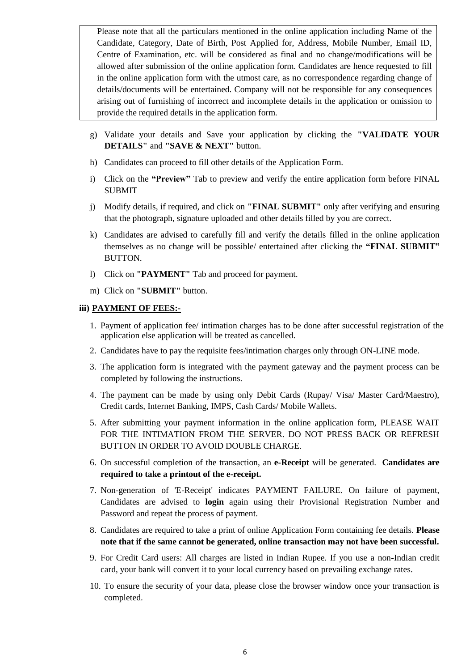Please note that all the particulars mentioned in the online application including Name of the Candidate, Category, Date of Birth, Post Applied for, Address, Mobile Number, Email ID, Centre of Examination, etc. will be considered as final and no change/modifications will be allowed after submission of the online application form. Candidates are hence requested to fill in the online application form with the utmost care, as no correspondence regarding change of details/documents will be entertained. Company will not be responsible for any consequences arising out of furnishing of incorrect and incomplete details in the application or omission to provide the required details in the application form.

- g) Validate your details and Save your application by clicking the **"VALIDATE YOUR DETAILS"** and **"SAVE & NEXT"** button.
- h) Candidates can proceed to fill other details of the Application Form.
- i) Click on the **"Preview"** Tab to preview and verify the entire application form before FINAL SUBMIT
- j) Modify details, if required, and click on **"FINAL SUBMIT"** only after verifying and ensuring that the photograph, signature uploaded and other details filled by you are correct.
- k) Candidates are advised to carefully fill and verify the details filled in the online application themselves as no change will be possible/ entertained after clicking the **"FINAL SUBMIT"** BUTTON.
- l) Click on **"PAYMENT"** Tab and proceed for payment.
- m) Click on **"SUBMIT"** button.

#### **iii) PAYMENT OF FEES:-**

- 1. Payment of application fee/ intimation charges has to be done after successful registration of the application else application will be treated as cancelled.
- 2. Candidates have to pay the requisite fees/intimation charges only through ON-LINE mode.
- 3. The application form is integrated with the payment gateway and the payment process can be completed by following the instructions.
- 4. The payment can be made by using only Debit Cards (Rupay/ Visa/ Master Card/Maestro), Credit cards, Internet Banking, IMPS, Cash Cards/ Mobile Wallets.
- 5. After submitting your payment information in the online application form, PLEASE WAIT FOR THE INTIMATION FROM THE SERVER. DO NOT PRESS BACK OR REFRESH BUTTON IN ORDER TO AVOID DOUBLE CHARGE.
- 6. On successful completion of the transaction, an **e-Receipt** will be generated. **Candidates are required to take a printout of the e-receipt.**
- 7. Non-generation of 'E-Receipt' indicates PAYMENT FAILURE. On failure of payment, Candidates are advised to **login** again using their Provisional Registration Number and Password and repeat the process of payment.
- 8. Candidates are required to take a print of online Application Form containing fee details. **Please note that if the same cannot be generated, online transaction may not have been successful.**
- 9. For Credit Card users: All charges are listed in Indian Rupee. If you use a non-Indian credit card, your bank will convert it to your local currency based on prevailing exchange rates.
- 10. To ensure the security of your data, please close the browser window once your transaction is completed.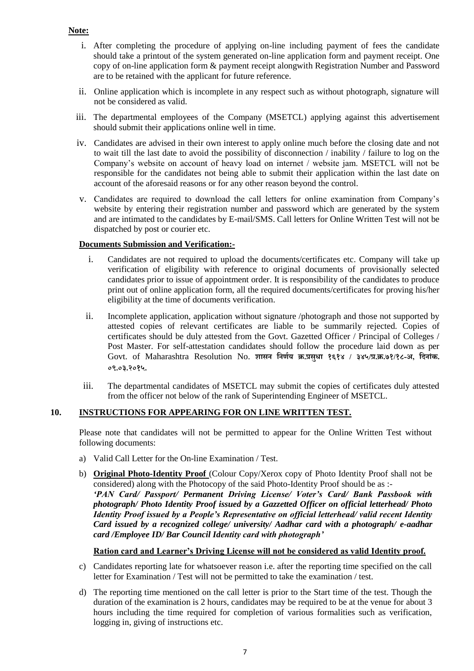- i. After completing the procedure of applying on-line including payment of fees the candidate should take a printout of the system generated on-line application form and payment receipt. One copy of on-line application form & payment receipt alongwith Registration Number and Password are to be retained with the applicant for future reference.
- ii. Online application which is incomplete in any respect such as without photograph, signature will not be considered as valid.
- iii. The departmental employees of the Company (MSETCL) applying against this advertisement should submit their applications online well in time.
- iv. Candidates are advised in their own interest to apply online much before the closing date and not to wait till the last date to avoid the possibility of disconnection / inability / failure to log on the Company's website on account of heavy load on internet / website jam. MSETCL will not be responsible for the candidates not being able to submit their application within the last date on account of the aforesaid reasons or for any other reason beyond the control.
- v. Candidates are required to download the call letters for online examination from Company's website by entering their registration number and password which are generated by the system and are intimated to the candidates by E-mail/SMS. Call letters for Online Written Test will not be dispatched by post or courier etc.

#### **Documents Submission and Verification:-**

- i. Candidates are not required to upload the documents/certificates etc. Company will take up verification of eligibility with reference to original documents of provisionally selected candidates prior to issue of appointment order. It is responsibility of the candidates to produce print out of online application form, all the required documents/certificates for proving his/her eligibility at the time of documents verification. Ì
- ii. Incomplete application, application without signature /photograph and those not supported by attested copies of relevant certificates are liable to be summarily rejected. Copies of certificates should be duly attested from the Govt. Gazetted Officer / Principal of Colleges / Post Master. For self-attestation candidates should follow the procedure laid down as per Govt. of Maharashtra Resolution No. **शासन ननर्णय क्र.प्रसा धा १६१४ / ३४५/प्र.क्र.७१/१८-अ, निनाांक. ०९.०३.२०१५.**
- iii. The departmental candidates of MSETCL may submit the copies of certificates duly attested from the officer not below of the rank of Superintending Engineer of MSETCL.

#### **10. INSTRUCTIONS FOR APPEARING FOR ON LINE WRITTEN TEST.**

Please note that candidates will not be permitted to appear for the Online Written Test without following documents:

- a) Valid Call Letter for the On-line Examination / Test.
- b) **Original Photo-Identity Proof** (Colour Copy/Xerox copy of Photo Identity Proof shall not be considered) along with the Photocopy of the said Photo-Identity Proof should be as :- *'PAN Card/ Passport/ Permanent Driving License/ Voter's Card/ Bank Passbook with photograph/ Photo Identity Proof issued by a Gazzetted Officer on official letterhead/ Photo Identity Proof issued by a People's Representative on official letterhead/ valid recent Identity Card issued by a recognized college/ university/ Aadhar card with a photograph/ e-aadhar card /Employee ID/ Bar Council Identity card with photograph'*

#### **Ration card and Learner's Driving License will not be considered as valid Identity proof.**

- c) Candidates reporting late for whatsoever reason i.e. after the reporting time specified on the call letter for Examination / Test will not be permitted to take the examination / test.
- d) The reporting time mentioned on the call letter is prior to the Start time of the test. Though the duration of the examination is 2 hours, candidates may be required to be at the venue for about 3 hours including the time required for completion of various formalities such as verification, logging in, giving of instructions etc.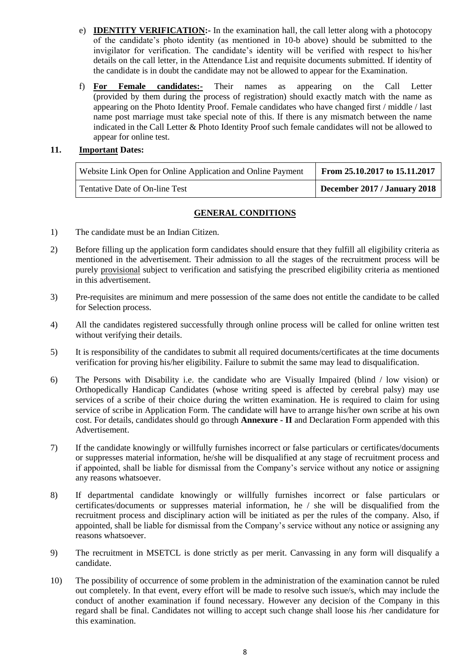- e) **IDENTITY VERIFICATION:-** In the examination hall, the call letter along with a photocopy of the candidate's photo identity (as mentioned in 10-b above) should be submitted to the invigilator for verification. The candidate's identity will be verified with respect to his/her details on the call letter, in the Attendance List and requisite documents submitted. If identity of the candidate is in doubt the candidate may not be allowed to appear for the Examination.
- f) **For Female candidates:-** Their names as appearing on the Call Letter (provided by them during the process of registration) should exactly match with the name as appearing on the Photo Identity Proof. Female candidates who have changed first / middle / last name post marriage must take special note of this. If there is any mismatch between the name indicated in the Call Letter & Photo Identity Proof such female candidates will not be allowed to appear for online test.

#### **11. Important Dates:**

| Website Link Open for Online Application and Online Payment | From 25.10.2017 to 15.11.2017 |
|-------------------------------------------------------------|-------------------------------|
| Tentative Date of On-line Test                              | December 2017 / January 2018  |

#### **GENERAL CONDITIONS**

- 1) The candidate must be an Indian Citizen.
- 2) Before filling up the application form candidates should ensure that they fulfill all eligibility criteria as mentioned in the advertisement. Their admission to all the stages of the recruitment process will be purely provisional subject to verification and satisfying the prescribed eligibility criteria as mentioned in this advertisement.
- 3) Pre-requisites are minimum and mere possession of the same does not entitle the candidate to be called for Selection process.
- 4) All the candidates registered successfully through online process will be called for online written test without verifying their details.
- 5) It is responsibility of the candidates to submit all required documents/certificates at the time documents verification for proving his/her eligibility. Failure to submit the same may lead to disqualification.
- 6) The Persons with Disability i.e. the candidate who are Visually Impaired (blind / low vision) or Orthopedically Handicap Candidates (whose writing speed is affected by cerebral palsy) may use services of a scribe of their choice during the written examination. He is required to claim for using service of scribe in Application Form. The candidate will have to arrange his/her own scribe at his own cost. For details, candidates should go through **Annexure - II** and Declaration Form appended with this Advertisement.
- 7) If the candidate knowingly or willfully furnishes incorrect or false particulars or certificates/documents or suppresses material information, he/she will be disqualified at any stage of recruitment process and if appointed, shall be liable for dismissal from the Company's service without any notice or assigning any reasons whatsoever.
- 8) If departmental candidate knowingly or willfully furnishes incorrect or false particulars or certificates/documents or suppresses material information, he / she will be disqualified from the recruitment process and disciplinary action will be initiated as per the rules of the company. Also, if appointed, shall be liable for dismissal from the Company's service without any notice or assigning any reasons whatsoever.
- 9) The recruitment in MSETCL is done strictly as per merit. Canvassing in any form will disqualify a candidate.
- 10) The possibility of occurrence of some problem in the administration of the examination cannot be ruled out completely. In that event, every effort will be made to resolve such issue/s, which may include the conduct of another examination if found necessary. However any decision of the Company in this regard shall be final. Candidates not willing to accept such change shall loose his /her candidature for this examination.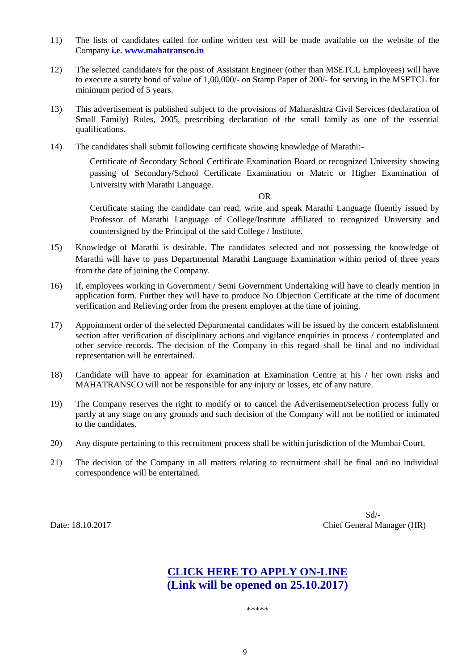- 11) The lists of candidates called for online written test will be made available on the website of the Company **i.e. [www.mahatransco.in](http://www.mahatransco.in/)**
- 12) The selected candidate/s for the post of Assistant Engineer (other than MSETCL Employees) will have to execute a surety bond of value of 1,00,000/- on Stamp Paper of 200/- for serving in the MSETCL for minimum period of 5 years.
- 13) This advertisement is published subject to the provisions of Maharashtra Civil Services (declaration of Small Family) Rules, 2005, prescribing declaration of the small family as one of the essential qualifications.
- 14) The candidates shall submit following certificate showing knowledge of Marathi:-

Certificate of Secondary School Certificate Examination Board or recognized University showing passing of Secondary/School Certificate Examination or Matric or Higher Examination of University with Marathi Language.

OR

Certificate stating the candidate can read, write and speak Marathi Language fluently issued by Professor of Marathi Language of College/Institute affiliated to recognized University and countersigned by the Principal of the said College / Institute.

- 15) Knowledge of Marathi is desirable. The candidates selected and not possessing the knowledge of Marathi will have to pass Departmental Marathi Language Examination within period of three years from the date of joining the Company.
- 16) If, employees working in Government / Semi Government Undertaking will have to clearly mention in application form. Further they will have to produce No Objection Certificate at the time of document verification and Relieving order from the present employer at the time of joining.
- 17) Appointment order of the selected Departmental candidates will be issued by the concern establishment section after verification of disciplinary actions and vigilance enquiries in process / contemplated and other service records. The decision of the Company in this regard shall be final and no individual representation will be entertained.
- 18) Candidate will have to appear for examination at Examination Centre at his / her own risks and MAHATRANSCO will not be responsible for any injury or losses, etc of any nature.
- 19) The Company reserves the right to modify or to cancel the Advertisement/selection process fully or partly at any stage on any grounds and such decision of the Company will not be notified or intimated to the candidates.
- 20) Any dispute pertaining to this recruitment process shall be within jurisdiction of the Mumbai Court.
- 21) The decision of the Company in all matters relating to recruitment shall be final and no individual correspondence will be entertained.

Sd/- Date: 18.10.2017 Chief General Manager (HR)

## **CLICK HERE TO APPLY ON-LINE (Link will be opened on 25.10.2017)**

\*\*\*\*\*\*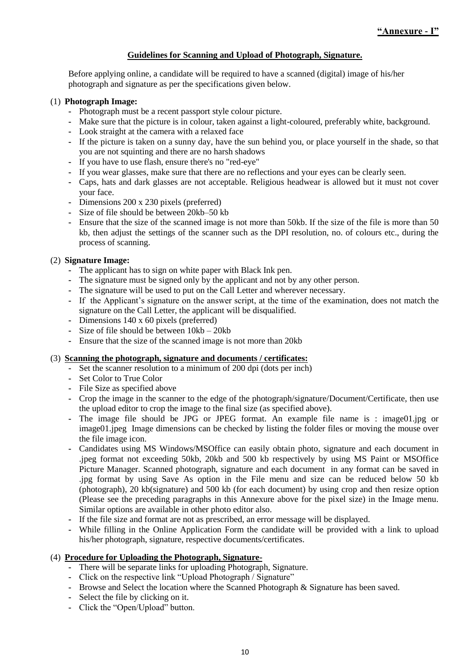#### **Guidelines for Scanning and Upload of Photograph, Signature.**

Before applying online, a candidate will be required to have a scanned (digital) image of his/her photograph and signature as per the specifications given below.

#### (1) **Photograph Image:**

- **-** Photograph must be a recent passport style colour picture.
- **-** Make sure that the picture is in colour, taken against a light-coloured, preferably white, background.
- **-** Look straight at the camera with a relaxed face
- **-** If the picture is taken on a sunny day, have the sun behind you, or place yourself in the shade, so that you are not squinting and there are no harsh shadows
- **-** If you have to use flash, ensure there's no "red-eye"
- **-** If you wear glasses, make sure that there are no reflections and your eyes can be clearly seen.
- **-** Caps, hats and dark glasses are not acceptable. Religious headwear is allowed but it must not cover your face.
- **-** Dimensions 200 x 230 pixels (preferred)
- **-** Size of file should be between 20kb–50 kb
- **-** Ensure that the size of the scanned image is not more than 50kb. If the size of the file is more than 50 kb, then adjust the settings of the scanner such as the DPI resolution, no. of colours etc., during the process of scanning.

#### (2) **Signature Image:**

- **-** The applicant has to sign on white paper with Black Ink pen.
- **-** The signature must be signed only by the applicant and not by any other person.
- **-** The signature will be used to put on the Call Letter and wherever necessary.
- **-** If the Applicant's signature on the answer script, at the time of the examination, does not match the signature on the Call Letter, the applicant will be disqualified.
- **-** Dimensions 140 x 60 pixels (preferred)
- **-** Size of file should be between 10kb 20kb
- **-** Ensure that the size of the scanned image is not more than 20kb

#### (3) **Scanning the photograph, signature and documents / certificates:**

- **-** Set the scanner resolution to a minimum of 200 dpi (dots per inch)
- **-** Set Color to True Color
- **-** File Size as specified above
- **-** Crop the image in the scanner to the edge of the photograph/signature/Document/Certificate, then use the upload editor to crop the image to the final size (as specified above).
- **-** The image file should be JPG or JPEG format. An example file name is : image01.jpg or image01.jpeg Image dimensions can be checked by listing the folder files or moving the mouse over the file image icon.
- **-** Candidates using MS Windows/MSOffice can easily obtain photo, signature and each document in .jpeg format not exceeding 50kb, 20kb and 500 kb respectively by using MS Paint or MSOffice Picture Manager. Scanned photograph, signature and each document in any format can be saved in .jpg format by using Save As option in the File menu and size can be reduced below 50 kb (photograph), 20 kb(signature) and 500 kb (for each document) by using crop and then resize option (Please see the preceding paragraphs in this Annexure above for the pixel size) in the Image menu. Similar options are available in other photo editor also.
- **-** If the file size and format are not as prescribed, an error message will be displayed.
- **-** While filling in the Online Application Form the candidate will be provided with a link to upload his/her photograph, signature, respective documents/certificates.

#### (4) **Procedure for Uploading the Photograph, Signature-**

- **-** There will be separate links for uploading Photograph, Signature.
- **-** Click on the respective link "Upload Photograph / Signature"
- **-** Browse and Select the location where the Scanned Photograph & Signature has been saved.
- **-** Select the file by clicking on it.
- **-** Click the "Open/Upload" button.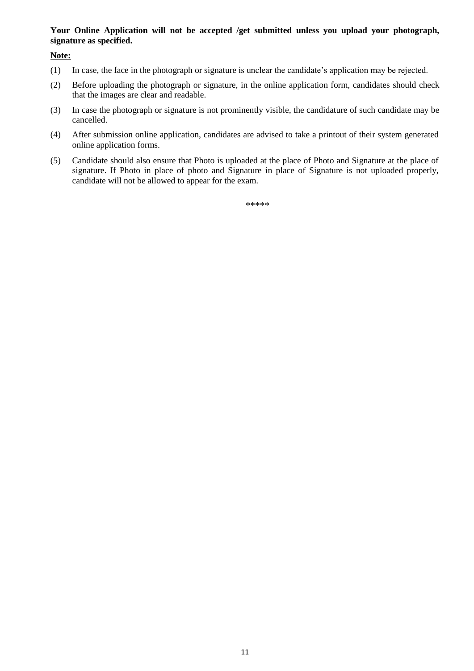#### **Your Online Application will not be accepted /get submitted unless you upload your photograph, signature as specified.**

**Note:**

- (1) In case, the face in the photograph or signature is unclear the candidate's application may be rejected.
- (2) Before uploading the photograph or signature, in the online application form, candidates should check that the images are clear and readable.
- (3) In case the photograph or signature is not prominently visible, the candidature of such candidate may be cancelled.
- (4) After submission online application, candidates are advised to take a printout of their system generated online application forms.
- (5) Candidate should also ensure that Photo is uploaded at the place of Photo and Signature at the place of signature. If Photo in place of photo and Signature in place of Signature is not uploaded properly, candidate will not be allowed to appear for the exam.

\*\*\*\*\*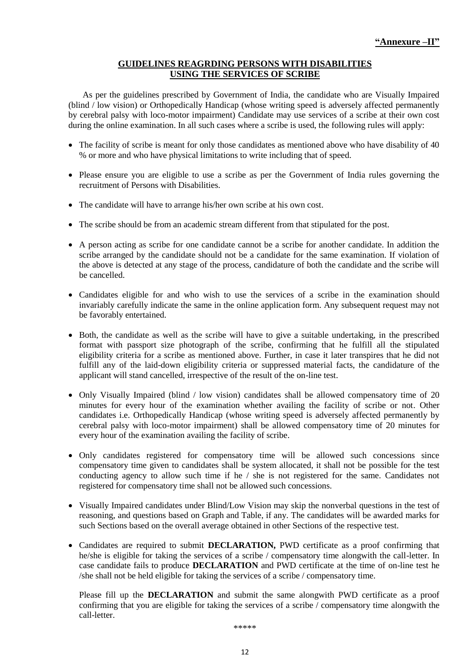#### **GUIDELINES REAGRDING PERSONS WITH DISABILITIES USING THE SERVICES OF SCRIBE**

As per the guidelines prescribed by Government of India, the candidate who are Visually Impaired (blind / low vision) or Orthopedically Handicap (whose writing speed is adversely affected permanently by cerebral palsy with loco-motor impairment) Candidate may use services of a scribe at their own cost during the online examination. In all such cases where a scribe is used, the following rules will apply:

- The facility of scribe is meant for only those candidates as mentioned above who have disability of 40 % or more and who have physical limitations to write including that of speed.
- Please ensure you are eligible to use a scribe as per the Government of India rules governing the recruitment of Persons with Disabilities.
- The candidate will have to arrange his/her own scribe at his own cost.
- The scribe should be from an academic stream different from that stipulated for the post.
- A person acting as scribe for one candidate cannot be a scribe for another candidate. In addition the scribe arranged by the candidate should not be a candidate for the same examination. If violation of the above is detected at any stage of the process, candidature of both the candidate and the scribe will be cancelled.
- Candidates eligible for and who wish to use the services of a scribe in the examination should invariably carefully indicate the same in the online application form. Any subsequent request may not be favorably entertained.
- Both, the candidate as well as the scribe will have to give a suitable undertaking, in the prescribed format with passport size photograph of the scribe, confirming that he fulfill all the stipulated eligibility criteria for a scribe as mentioned above. Further, in case it later transpires that he did not fulfill any of the laid-down eligibility criteria or suppressed material facts, the candidature of the applicant will stand cancelled, irrespective of the result of the on-line test.
- Only Visually Impaired (blind / low vision) candidates shall be allowed compensatory time of 20 minutes for every hour of the examination whether availing the facility of scribe or not. Other candidates i.e. Orthopedically Handicap (whose writing speed is adversely affected permanently by cerebral palsy with loco-motor impairment) shall be allowed compensatory time of 20 minutes for every hour of the examination availing the facility of scribe.
- Only candidates registered for compensatory time will be allowed such concessions since compensatory time given to candidates shall be system allocated, it shall not be possible for the test conducting agency to allow such time if he / she is not registered for the same. Candidates not registered for compensatory time shall not be allowed such concessions.
- Visually Impaired candidates under Blind/Low Vision may skip the nonverbal questions in the test of reasoning, and questions based on Graph and Table, if any. The candidates will be awarded marks for such Sections based on the overall average obtained in other Sections of the respective test.
- Candidates are required to submit **DECLARATION,** PWD certificate as a proof confirming that he/she is eligible for taking the services of a scribe / compensatory time alongwith the call-letter. In case candidate fails to produce **DECLARATION** and PWD certificate at the time of on-line test he /she shall not be held eligible for taking the services of a scribe / compensatory time.

Please fill up the **DECLARATION** and submit the same alongwith PWD certificate as a proof confirming that you are eligible for taking the services of a scribe / compensatory time alongwith the call-letter.

\*\*\*\*\*